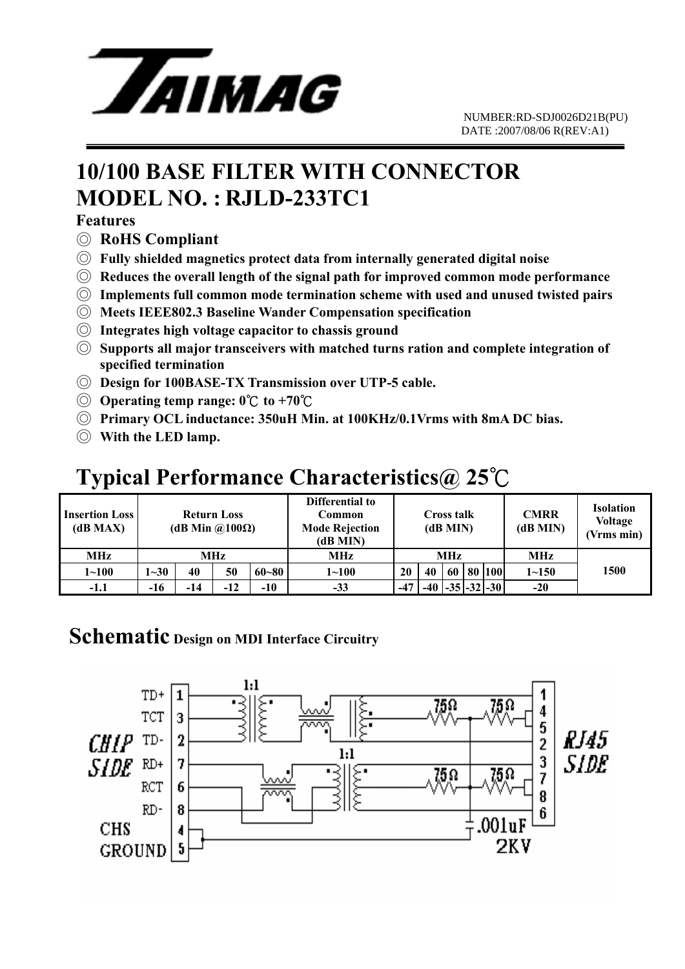

# **10/100 BASE FILTER WITH CONNECTOR MODEL NO. : RJLD-233TC1**

### **Features**

- ◎ **RoHS Compliant**
- ◎ **Fully shielded magnetics protect data from internally generated digital noise**
- ◎ **Reduces the overall length of the signal path for improved common mode performance**
- ◎ **Implements full common mode termination scheme with used and unused twisted pairs**
- ◎ **Meets IEEE802.3 Baseline Wander Compensation specification**
- ◎ **Integrates high voltage capacitor to chassis ground**
- ◎ **Supports all major transceivers with matched turns ration and complete integration of specified termination**
- ◎ **Design for 100BASE-TX Transmission over UTP-5 cable.**
- ◎ **Operating temp range: 0** ℃ **to +70**℃
- ◎ **Primary OCL inductance: 350uH Min. at 100KHz/0.1Vrms with 8mA DC bias.**
- ◎ **With the LED lamp.**

# **Typical Performance Characteristics@ 25**℃

| <b>Insertion Loss</b><br>(dB MAX) | <b>Return Loss</b><br>(dB Min $\omega(100\Omega)$ ) |     |     |           | Differential to<br>Common<br><b>Mode Rejection</b><br>(dB MIN) | Cross talk<br>(dB MIN) |    |    |  | <b>CMRR</b><br>(dB MIN)       | <b>Isolation</b><br><b>Voltage</b><br>(Vrms min) |      |
|-----------------------------------|-----------------------------------------------------|-----|-----|-----------|----------------------------------------------------------------|------------------------|----|----|--|-------------------------------|--------------------------------------------------|------|
| <b>MHz</b>                        | <b>MHz</b>                                          |     |     |           | MHz                                                            | <b>MHz</b>             |    |    |  |                               | <b>MHz</b>                                       |      |
| $1 - 100$                         | $1 - 30$                                            | 40  | 50  | $60 - 80$ | $1 \!\!\sim\!\! 100$                                           | 20                     | 40 | 60 |  | 80   100                      | $1 - 150$                                        | 1500 |
| $-1.1$                            | -16                                                 | -14 | -12 | $-10$     | $-33$                                                          | $-47$                  |    |    |  | $-40$ $-35$ $-32$ $-30$ $\pm$ | $-20$                                            |      |

### **Schematic Design on MDI Interface Circuitry**

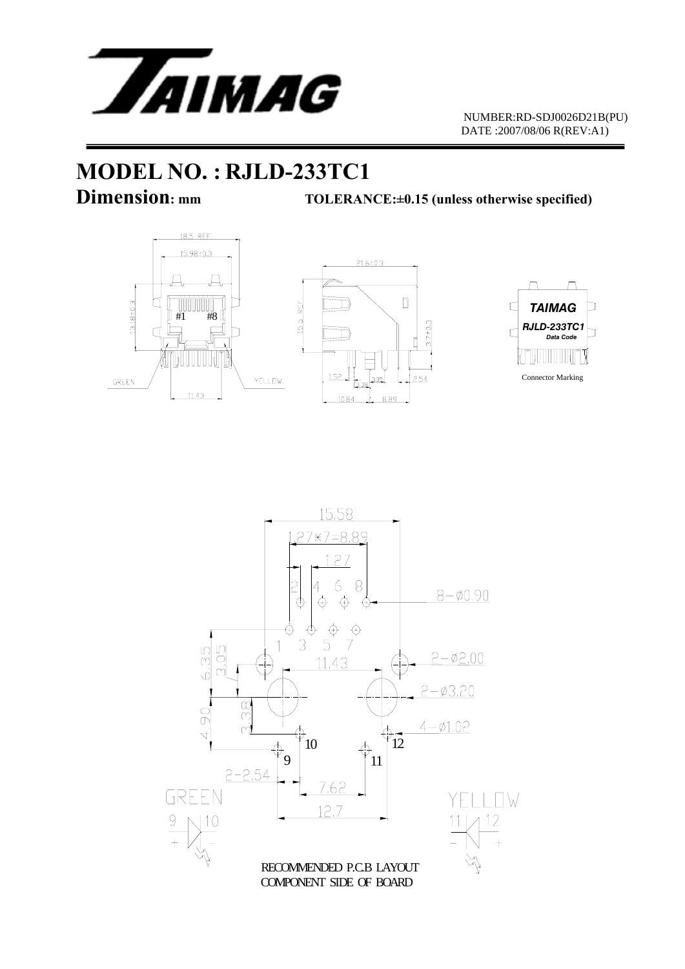

# **MODEL NO. : RJLD-233TC1**

**Dimension:** mm TOLERANCE:±0.15 (unless otherwise specified)







15.58  $27*7=8.89$ .27 6 8 2  $8 - 0.90$ ⊕  $\bigoplus$ ⊕  $\begin{matrix} 0 \\ 0 \\ 0 \\ 0 \end{matrix}$  $\frac{1}{3}$  $\vec{y}$ ⊕  $\overline{1}$ 6.35  $\Box$  $2 - 02.00$  $\subset$ 11.43  $\alpha$  $2 - 03.20$  $\frac{8}{3}$  $\overline{0}$  $4 - 01.02$  $\overleftrightarrow{p}_{12}$  $\overline{+}$  $\bigoplus_{11}$ 10  $\overline{\mathfrak{p}}_{\mathbf{g}}$  $2 - 2.54$ 7.62 GREEN YELL ITW 12.7  $\frac{12}{4}$ |10 RECOMMENDED P.C.B LAYOUT COMPONENT SIDE OF BOARD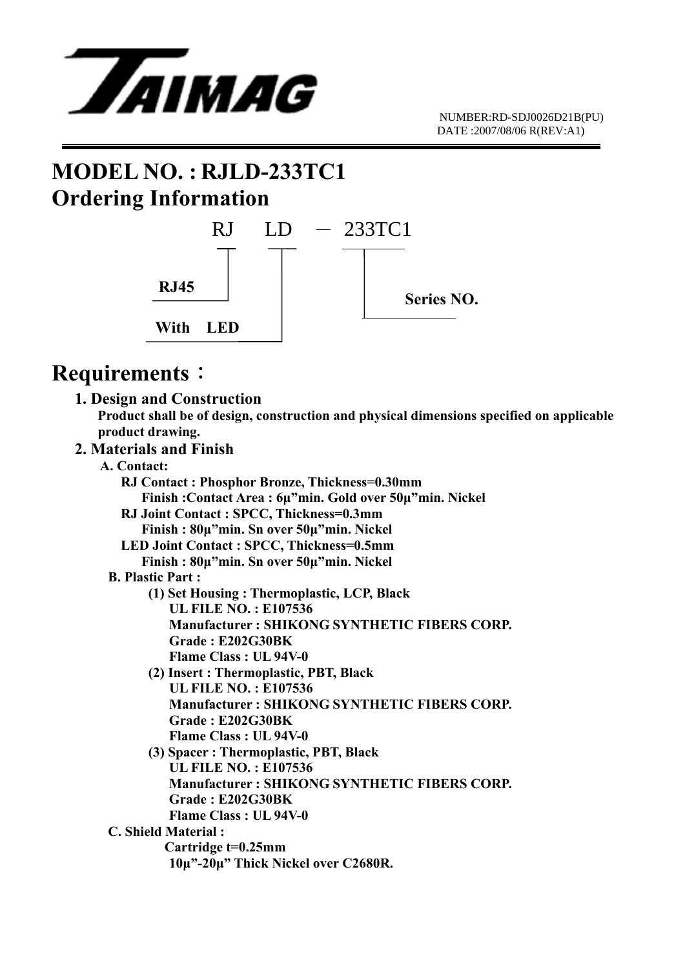

### **MODEL NO. : RJLD-233TC1 Ordering Information**



### **Requirements**:

 **1. Design and Construction Product shall be of design, construction and physical dimensions specified on applicable product drawing.** 

#### **2. Materials and Finish A. Contact:**

| A. Contact:                                             |
|---------------------------------------------------------|
| RJ Contact: Phosphor Bronze, Thickness=0.30mm           |
| Finish: Contact Area: 6µ"min. Gold over 50µ"min. Nickel |
| RJ Joint Contact : SPCC, Thickness=0.3mm                |
| Finish: 80µ"min. Sn over 50µ"min. Nickel                |
| LED Joint Contact : SPCC, Thickness=0.5mm               |
| Finish: 80µ"min. Sn over 50µ"min. Nickel                |
| <b>B. Plastic Part:</b>                                 |
| (1) Set Housing: Thermoplastic, LCP, Black              |
| <b>UL FILE NO.: E107536</b>                             |
| <b>Manufacturer: SHIKONG SYNTHETIC FIBERS CORP.</b>     |
| Grade: E202G30BK                                        |
| <b>Flame Class: UL 94V-0</b>                            |
| (2) Insert: Thermoplastic, PBT, Black                   |
| <b>UL FILE NO.: E107536</b>                             |
| <b>Manufacturer: SHIKONG SYNTHETIC FIBERS CORP.</b>     |
| Grade: E202G30BK                                        |
| Flame Class: UL 94V-0                                   |
| (3) Spacer: Thermoplastic, PBT, Black                   |
| <b>UL FILE NO.: E107536</b>                             |
| <b>Manufacturer: SHIKONG SYNTHETIC FIBERS CORP.</b>     |
| Grade: E202G30BK                                        |
| Flame Class: UL 94V-0                                   |
| <b>C. Shield Material:</b>                              |
| Cartridge t=0.25mm                                      |
| 10μ"-20μ" Thick Nickel over C2680R.                     |
|                                                         |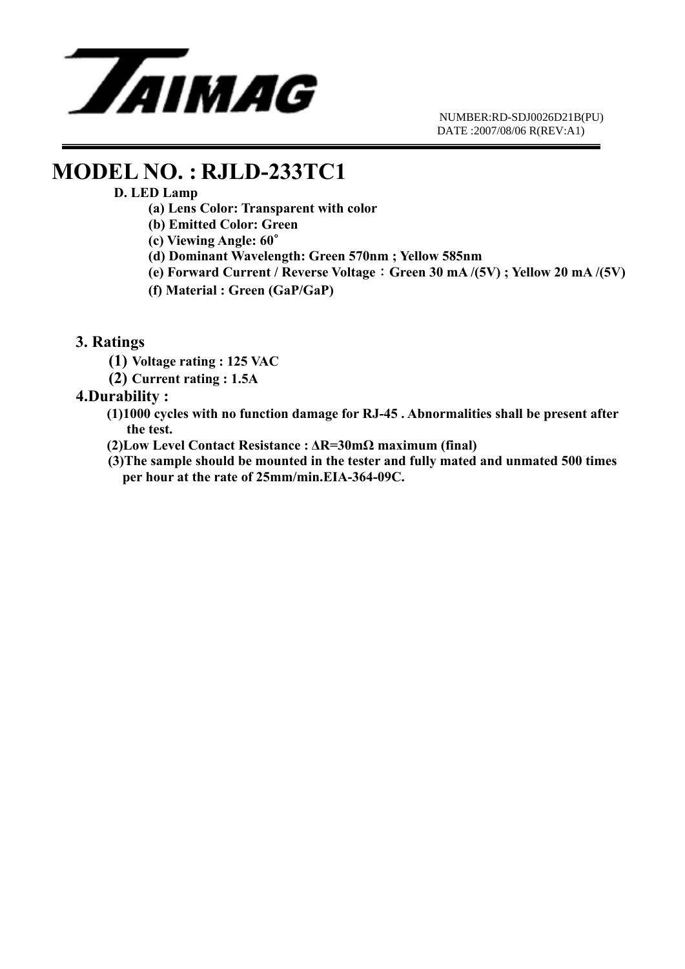

### **MODEL NO. : RJLD-233TC1**

### **D. LED Lamp**

- **(a) Lens Color: Transparent with color**
- **(b) Emitted Color: Green**
- **(c) Viewing Angle: 60**∘
- **(d) Dominant Wavelength: Green 570nm ; Yellow 585nm**
- **(e) Forward Current / Reverse Voltage**:**Green 30 mA /(5V) ; Yellow 20 mA /(5V)**
- **(f) Material : Green (GaP/GaP)**
- **3. Ratings** 
	- **(1) Voltage rating : 125 VAC**
	- **(2) Current rating : 1.5A**

### **4.Durability :**

- **(1)1000 cycles with no function damage for RJ-45 . Abnormalities shall be present after the test.**
- **(2)Low Level Contact Resistance : ΔR=30mΩ maximum (final)**
- **(3)The sample should be mounted in the tester and fully mated and unmated 500 times per hour at the rate of 25mm/min.EIA-364-09C.**